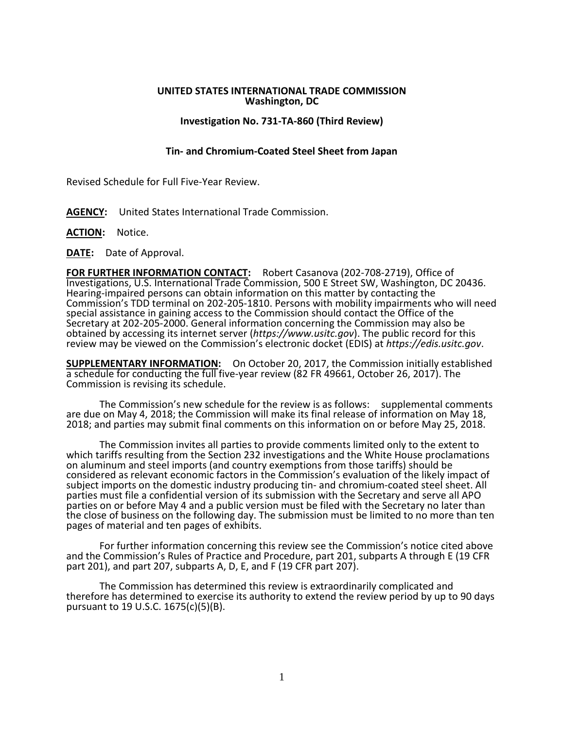## **UNITED STATES INTERNATIONAL TRADE COMMISSION Washington, DC**

## **Investigation No. 731-TA-860 (Third Review)**

## **Tin- and Chromium-Coated Steel Sheet from Japan**

Revised Schedule for Full Five-Year Review.

- **AGENCY:** United States International Trade Commission.
- **ACTION:** Notice.
- **DATE:** Date of Approval.

**FOR FURTHER INFORMATION CONTACT:** Robert Casanova (202-708-2719), Office of Investigations, U.S. International Trade Commission, 500 E Street SW, Washington, DC 20436. Hearing-impaired persons can obtain information on this matter by contacting the Commission's TDD terminal on 202-205-1810. Persons with mobility impairments who will need special assistance in gaining access to the Commission should contact the Office of the Secretary at 202-205-2000. General information concerning the Commission may also be obtained by accessing its internet server (*https://www.usitc.gov*). The public record for this review may be viewed on the Commission's electronic docket (EDIS) at *https://edis.usitc.gov*.

**SUPPLEMENTARY INFORMATION:** On October 20, 2017, the Commission initially established a schedule for conducting the full five-year review (82 FR 49661, October 26, 2017). The Commission is revising its schedule.

The Commission's new schedule for the review is as follows: supplemental comments are due on May 4, 2018; the Commission will make its final release of information on May 18, 2018; and parties may submit final comments on this information on or before May 25, 2018.

The Commission invites all parties to provide comments limited only to the extent to which tariffs resulting from the Section 232 investigations and the White House proclamations on aluminum and steel imports (and country exemptions from those tariffs) should be considered as relevant economic factors in the Commission's evaluation of the likely impact of subject imports on the domestic industry producing tin- and chromium-coated steel sheet. All parties must file a confidential version of its submission with the Secretary and serve all APO parties on or before May 4 and a public version must be filed with the Secretary no later than the close of business on the following day. The submission must be limited to no more than ten pages of material and ten pages of exhibits.

For further information concerning this review see the Commission's notice cited above and the Commission's Rules of Practice and Procedure, part 201, subparts A through E (19 CFR part 201), and part 207, subparts A, D, E, and F (19 CFR part 207).

The Commission has determined this review is extraordinarily complicated and therefore has determined to exercise its authority to extend the review period by up to 90 days pursuant to 19 U.S.C. 1675(c)(5)(B).